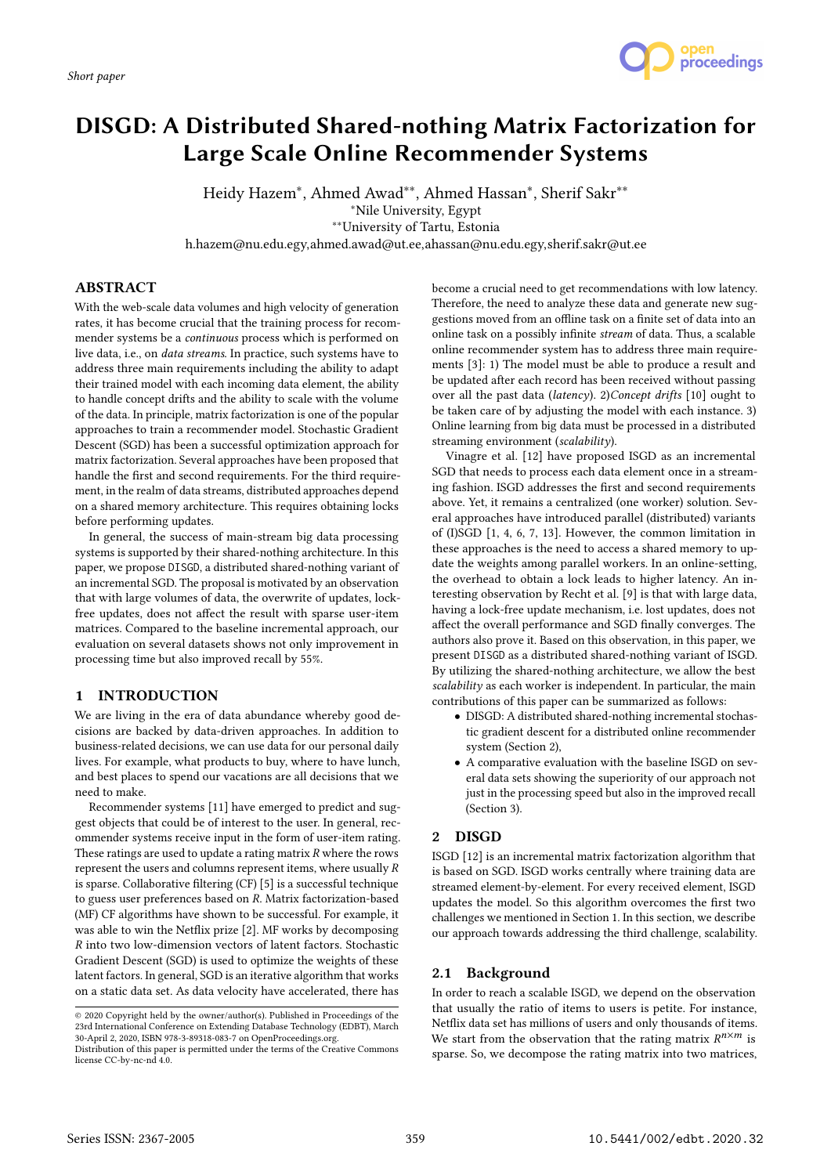

# DISGD: A Distributed Shared-nothing Matrix Factorization for Large Scale Online Recommender Systems

Heidy Hazem∗ , Ahmed Awad∗∗, Ahmed Hassan∗ , Sherif Sakr∗∗ ∗Nile University, Egypt ∗∗University of Tartu, Estonia

h.hazem@nu.edu.egy,ahmed.awad@ut.ee,ahassan@nu.edu.egy,sherif.sakr@ut.ee

# **ABSTRACT**

With the web-scale data volumes and high velocity of generation rates, it has become crucial that the training process for recommender systems be a continuous process which is performed on live data, i.e., on data streams. In practice, such systems have to address three main requirements including the ability to adapt their trained model with each incoming data element, the ability to handle concept drifts and the ability to scale with the volume of the data. In principle, matrix factorization is one of the popular approaches to train a recommender model. Stochastic Gradient Descent (SGD) has been a successful optimization approach for matrix factorization. Several approaches have been proposed that handle the first and second requirements. For the third requirement, in the realm of data streams, distributed approaches depend on a shared memory architecture. This requires obtaining locks before performing updates.

In general, the success of main-stream big data processing systems is supported by their shared-nothing architecture. In this paper, we propose DISGD, a distributed shared-nothing variant of an incremental SGD. The proposal is motivated by an observation that with large volumes of data, the overwrite of updates, lockfree updates, does not affect the result with sparse user-item matrices. Compared to the baseline incremental approach, our evaluation on several datasets shows not only improvement in processing time but also improved recall by 55%.

# 1 INTRODUCTION

We are living in the era of data abundance whereby good decisions are backed by data-driven approaches. In addition to business-related decisions, we can use data for our personal daily lives. For example, what products to buy, where to have lunch, and best places to spend our vacations are all decisions that we need to make.

Recommender systems [11] have emerged to predict and suggest objects that could be of interest to the user. In general, recommender systems receive input in the form of user-item rating. These ratings are used to update a rating matrix  $R$  where the rows represent the users and columns represent items, where usually R is sparse. Collaborative filtering (CF) [5] is a successful technique to guess user preferences based on R. Matrix factorization-based (MF) CF algorithms have shown to be successful. For example, it was able to win the Netflix prize [2]. MF works by decomposing R into two low-dimension vectors of latent factors. Stochastic Gradient Descent (SGD) is used to optimize the weights of these latent factors. In general, SGD is an iterative algorithm that works on a static data set. As data velocity have accelerated, there has

become a crucial need to get recommendations with low latency. Therefore, the need to analyze these data and generate new suggestions moved from an offline task on a finite set of data into an online task on a possibly infinite stream of data. Thus, a scalable online recommender system has to address three main requirements [3]: 1) The model must be able to produce a result and be updated after each record has been received without passing over all the past data (latency). 2)Concept drifts [10] ought to be taken care of by adjusting the model with each instance. 3) Online learning from big data must be processed in a distributed streaming environment (scalability).

Vinagre et al. [12] have proposed ISGD as an incremental SGD that needs to process each data element once in a streaming fashion. ISGD addresses the first and second requirements above. Yet, it remains a centralized (one worker) solution. Several approaches have introduced parallel (distributed) variants of (I)SGD [1, 4, 6, 7, 13]. However, the common limitation in these approaches is the need to access a shared memory to update the weights among parallel workers. In an online-setting, the overhead to obtain a lock leads to higher latency. An interesting observation by Recht et al. [9] is that with large data, having a lock-free update mechanism, i.e. lost updates, does not affect the overall performance and SGD finally converges. The authors also prove it. Based on this observation, in this paper, we present DISGD as a distributed shared-nothing variant of ISGD. By utilizing the shared-nothing architecture, we allow the best scalability as each worker is independent. In particular, the main contributions of this paper can be summarized as follows:

- DISGD: A distributed shared-nothing incremental stochastic gradient descent for a distributed online recommender system (Section 2),
- A comparative evaluation with the baseline ISGD on several data sets showing the superiority of our approach not just in the processing speed but also in the improved recall (Section 3).

# 2 DISGD

ISGD [12] is an incremental matrix factorization algorithm that is based on SGD. ISGD works centrally where training data are streamed element-by-element. For every received element, ISGD updates the model. So this algorithm overcomes the first two challenges we mentioned in Section 1. In this section, we describe our approach towards addressing the third challenge, scalability.

# 2.1 Background

In order to reach a scalable ISGD, we depend on the observation that usually the ratio of items to users is petite. For instance, Netflix data set has millions of users and only thousands of items. We start from the observation that the rating matrix  $R^{n \times m}$  is<br>sparse. So we decompose the rating matrix into two matrices sparse. So, we decompose the rating matrix into two matrices,

<sup>©</sup> 2020 Copyright held by the owner/author(s). Published in Proceedings of the 23rd International Conference on Extending Database Technology (EDBT), March 30-April 2, 2020, ISBN 978-3-89318-083-7 on OpenProceedings.org.

Distribution of this paper is permitted under the terms of the Creative Commons license CC-by-nc-nd 4.0.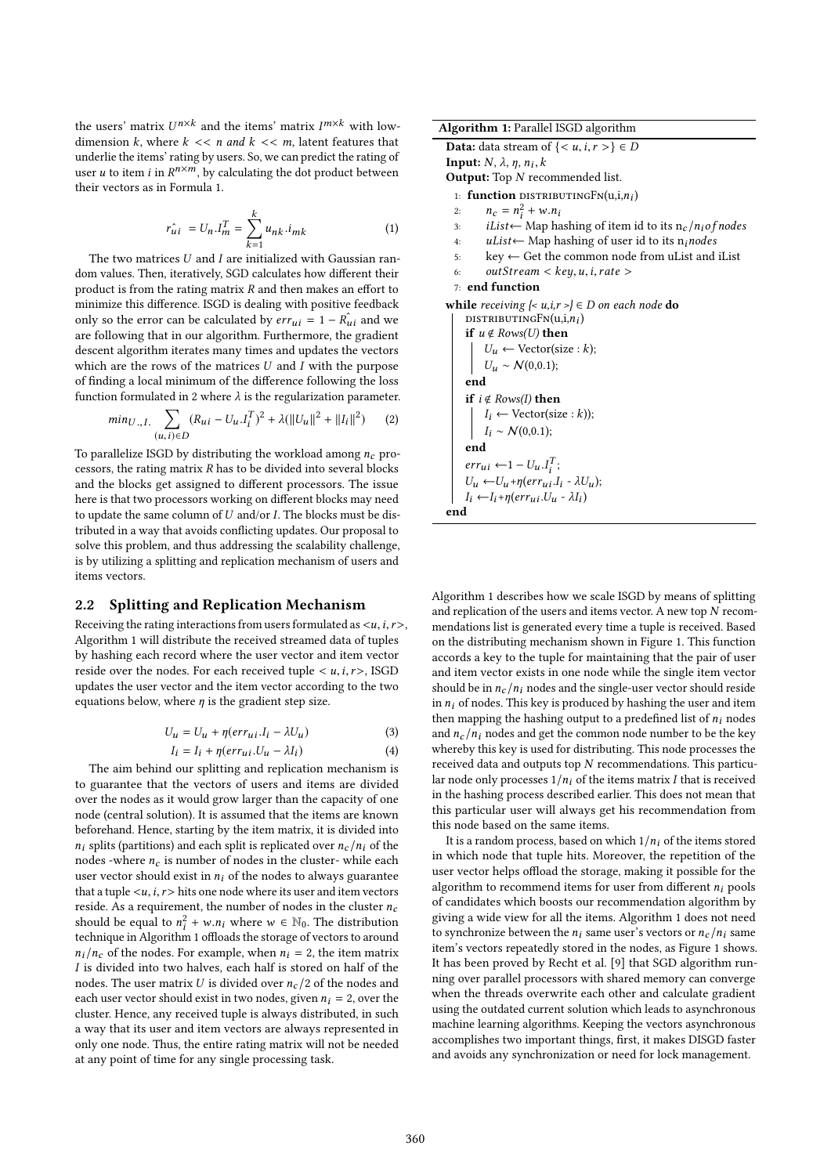the users' matrix  $U^{n \times k}$  and the items' matrix  $I^{m \times k}$  with low-<br>dimension k, where  $k \leq \epsilon$ , n and  $k \leq \epsilon$ , m, latent features that dimension k, where  $k \ll n$  and  $k \ll m$ , latent features that underlie the items' rating by users. So, we can predict the rating of user *u* to item *i* in  $R^{n \times m}$ , by calculating the dot product between their vectors as in Formula 1.

$$
\hat{r_{ui}} = U_n . I_m^T = \sum_{k=1}^k u_{nk} . i_{mk} \tag{1}
$$

The two matrices  $U$  and  $I$  are initialized with Gaussian random values. Then, iteratively, SGD calculates how different their product is from the rating matrix  $R$  and then makes an effort to minimize this difference. ISGD is dealing with positive feedback only so the error can be calculated by  $err_{ui} = 1 - R_{ui}$  and we<br>are following that in our algorithm Eurthermore, the gradient are following that in our algorithm. Furthermore, the gradient descent algorithm iterates many times and updates the vectors which are the rows of the matrices  $U$  and  $I$  with the purpose of finding a local minimum of the difference following the loss function formulated in 2 where  $\lambda$  is the regularization parameter.

$$
min_{U_{\cdot}, I_{\cdot}} \sum_{(u, i) \in D} (R_{ui} - U_u \cdot I_i^T)^2 + \lambda (||U_u||^2 + ||I_i||^2)
$$
 (2)

To parallelize ISGD by distributing the workload among  $n_c$  pro-<br>cessors, the rating matrix  $R$  has to be divided into several blocks cessors, the rating matrix  $R$  has to be divided into several blocks and the blocks get assigned to different processors. The issue here is that two processors working on different blocks may need to update the same column of  $U$  and/or  $I$ . The blocks must be distributed in a way that avoids conflicting updates. Our proposal to solve this problem, and thus addressing the scalability challenge, is by utilizing a splitting and replication mechanism of users and items vectors.

## 2.2 Splitting and Replication Mechanism

Receiving the rating interactions from users formulated as  $\langle u, i, r \rangle$ , Algorithm 1 will distribute the received streamed data of tuples by hashing each record where the user vector and item vector reside over the nodes. For each received tuple  $\lt u, i, r$ , ISGD updates the user vector and the item vector according to the two equations below, where  $\eta$  is the gradient step size.

$$
U_u = U_u + \eta (err_{ui}.I_i - \lambda U_u)
$$
\n(3)

$$
I_i = I_i + \eta(\text{err}_{ui}.U_u - \lambda I_i)
$$
 (4)  
The aim behind our splitting and replication mechanism is

to guarantee that the vectors of users and items are divided over the nodes as it would grow larger than the capacity of one node (central solution). It is assumed that the items are known beforehand. Hence, starting by the item matrix, it is divided into  $n_i$  splits (partitions) and each split is replicated over  $n_c/n_i$  of the nodes -where  $n_c$  is number of nodes in the cluster- while each user vector should exist in  $n_i$  of the nodes to always guarantee that a tuple  $\langle u, i, r \rangle$  hits one node where its user and item vectors reside. As a requirement, the number of nodes in the cluster  $n_c$ should be equal to  $n_i^2$ <br>technique in Algorithm  $\frac{2}{i} + w.n_i$  where  $w \in \mathbb{N}_0$ . The distribution technique in Algorithm 1 offloads the storage of vectors to around  $n_i/n_c$  of the nodes. For example, when  $n_i = 2$ , the item matrix I is divided into two halves, each half is stored on half of the nodes. The user matrix U is divided over  $n_c/2$  of the nodes and each user vector should exist in two nodes, given  $n_i = 2$ , over the cluster. Hence, any received tuple is always distributed, in such a way that its user and item vectors are always represented in only one node. Thus, the entire rating matrix will not be needed at any point of time for any single processing task.

Algorithm 1: Parallel ISGD algorithm **Data:** data stream of  $\{< u, i, r>\}\in D$ **Input:**  $N$ ,  $\lambda$ ,  $\eta$ ,  $n_i$ ,  $k$ Output: Top  $N$  recommended list. 1: **function** distributingFn(u,i,n<sub>i</sub>) 2:  $n_c = n_i^2$ <br>3: il ist  $\frac{a}{i}$  + w.n<sub>i</sub> 3: *iList*← Map hashing of item id to its  $n_c/n_i$  *of nodes*<br>4: *uList*← Map hashing of user id to its n<sub>i</sub>nodes 4: uList← Map hashing of user id to its n<sub>i</sub>nodes<br>5: key ← Get the common node from uList and  $key \leftarrow$  Get the common node from uList and iList 6:  $outStream < key, u, i, rate >$ 7: end function while receiving  $\{ \leq u, i, r \leq l \} \in D$  on each node do DISTRIBUTINGFN $(u,i,n_i)$ if  $u \notin Rows(U)$  then  $U_u \leftarrow \text{Vector}(size : k);$  $U_u \sim \mathcal{N}(0,0.1);$ end if  $i \notin Rows(I)$  then  $I_i \leftarrow \text{Vector}(size : k)$ ;  $I_i \sim \mathcal{N}(0, 0.1);$ end  $err_{ui}$  ← 1 –  $U_u$ . $I_i^T$ ;  $U_u \leftarrow U_u + \eta (err_{ui}.I_i - \lambda U_u);$  $I_i \leftarrow I_i + \eta (err_{ui}.U_u - \lambda I_i)$ end

Algorithm 1 describes how we scale ISGD by means of splitting and replication of the users and items vector. A new top N recommendations list is generated every time a tuple is received. Based on the distributing mechanism shown in Figure 1. This function accords a key to the tuple for maintaining that the pair of user and item vector exists in one node while the single item vector should be in  $n_c/n_i$  nodes and the single-user vector should reside in  $n_i$  of nodes. This key is produced by hashing the user and item then mapping the hashing output to a predefined list of  $n_i$  nodes and  $n_c/n_i$  nodes and get the common node number to be the key whereby this key is used for distributing. This node processes the received data and outputs top N recommendations. This particular node only processes  $1/n_i$  of the items matrix I that is received in the hashing process described earlier. This does not mean that this particular user will always get his recommendation from this node based on the same items.

It is a random process, based on which  $1/n_i$  of the items stored in which node that tuple hits. Moreover, the repetition of the user vector helps offload the storage, making it possible for the algorithm to recommend items for user from different  $n_i$  pools of candidates which boosts our recommendation algorithm by giving a wide view for all the items. Algorithm 1 does not need to synchronize between the  $n_i$  same user's vectors or  $n_c/n_i$  same item's vectors repeatedly stored in the nodes, as Figure 1 shows. It has been proved by Recht et al. [9] that SGD algorithm running over parallel processors with shared memory can converge when the threads overwrite each other and calculate gradient using the outdated current solution which leads to asynchronous machine learning algorithms. Keeping the vectors asynchronous accomplishes two important things, first, it makes DISGD faster and avoids any synchronization or need for lock management.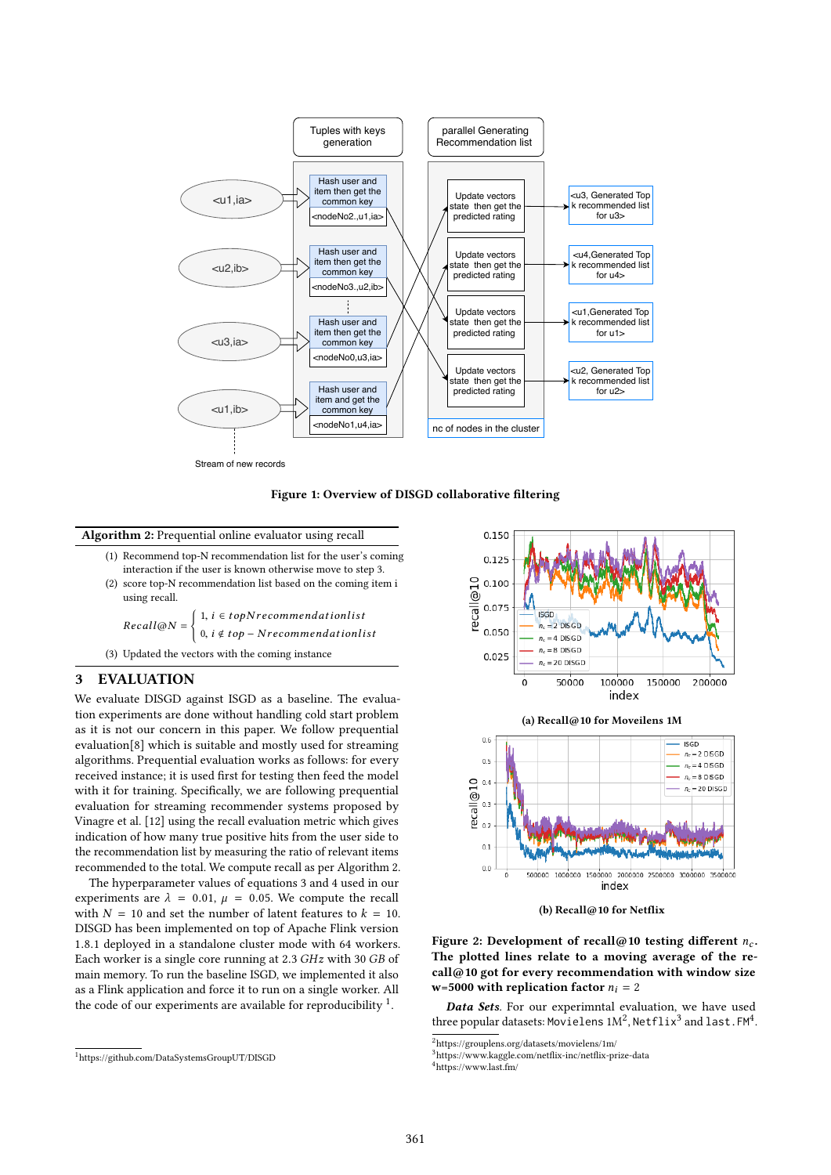

Figure 1: Overview of DISGD collaborative filtering

#### Algorithm 2: Prequential online evaluator using recall

(1) Recommend top-N recommendation list for the user's coming interaction if the user is known otherwise move to step 3. (2) score top-N recommendation list based on the coming item i

using recall.  $Recall@N =$ (  $i, i \in topN$  recommendationlist 0,  $i \notin top - N$  recommendationlist

(3) Updated the vectors with the coming instance

## 3 EVALUATION

We evaluate DISGD against ISGD as a baseline. The evaluation experiments are done without handling cold start problem as it is not our concern in this paper. We follow prequential evaluation[8] which is suitable and mostly used for streaming algorithms. Prequential evaluation works as follows: for every received instance; it is used first for testing then feed the model with it for training. Specifically, we are following prequential evaluation for streaming recommender systems proposed by Vinagre et al. [12] using the recall evaluation metric which gives indication of how many true positive hits from the user side to the recommendation list by measuring the ratio of relevant items recommended to the total. We compute recall as per Algorithm 2.

The hyperparameter values of equations 3 and 4 used in our experiments are  $\lambda = 0.01$ ,  $\mu = 0.05$ . We compute the recall with  $N = 10$  and set the number of latent features to  $k = 10$ . DISGD has been implemented on top of Apache Flink version <sup>1</sup>.8.<sup>1</sup> deployed in a standalone cluster mode with <sup>64</sup> workers. Each worker is a single core running at <sup>2</sup>.<sup>3</sup> GHz with <sup>30</sup> GB of main memory. To run the baseline ISGD, we implemented it also as a Flink application and force it to run on a single worker. All the code of our experiments are available for reproducibility  $\frac{1}{1}$ .





(b) Recall@10 for Netflix

Figure 2: Development of recall@10 testing different  $n_c$ . The plotted lines relate to a moving average of the re $call@10$  got for every recommendation with window size w=5000 with replication factor  $n_i = 2$ 

Data Sets. For our experimntal evaluation, we have used three popular datasets: Movielens 1M<sup>2</sup>, Netflix<sup>3</sup> and last.FM<sup>4</sup>.

<sup>1</sup>https://github.com/DataSystemsGroupUT/DISGD

 $^2$ https://grouplens.org/datasets/movielens/1m/  $\,$ 

<sup>3</sup>https://www.kaggle.com/netflix-inc/netflix-prize-data

<sup>4</sup>https://www.last.fm/